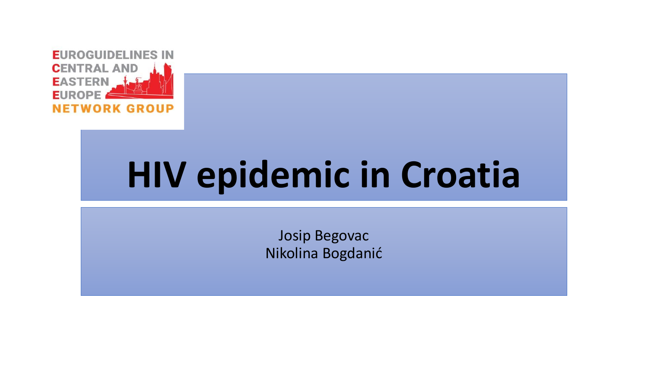

# **HIV epidemic in Croatia**

Josip Begovac Nikolina Bogdanić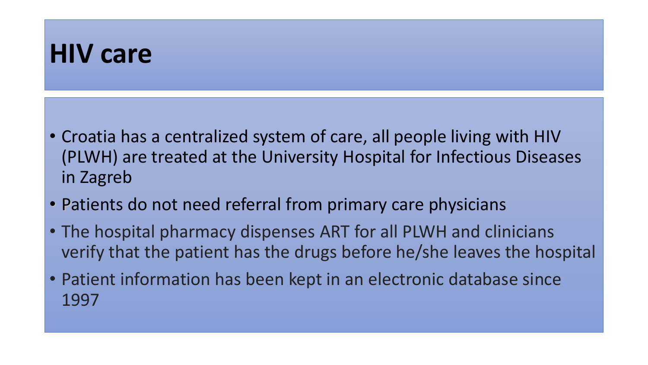### **HIV care**

- Croatia has a centralized system of care, all people living with HIV (PLWH) are treated at the University Hospital for Infectious Diseases in Zagreb
- Patients do not need referral from primary care physicians
- The hospital pharmacy dispenses ART for all PLWH and clinicians verify that the patient has the drugs before he/she leaves the hospital
- Patient information has been kept in an electronic database since 1997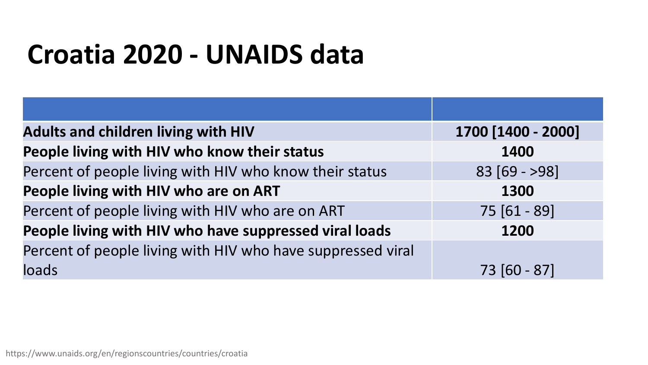## **Croatia 2020 - UNAIDS data**

| <b>Adults and children living with HIV</b>                  | 1700 [1400 - 2000] |
|-------------------------------------------------------------|--------------------|
| People living with HIV who know their status                | 1400               |
| Percent of people living with HIV who know their status     | $83 [69 - 98]$     |
| People living with HIV who are on ART                       | 1300               |
| Percent of people living with HIV who are on ART            | 75 [61 - 89]       |
| People living with HIV who have suppressed viral loads      | 1200               |
| Percent of people living with HIV who have suppressed viral |                    |
| loads                                                       | 73 [60 - 87]       |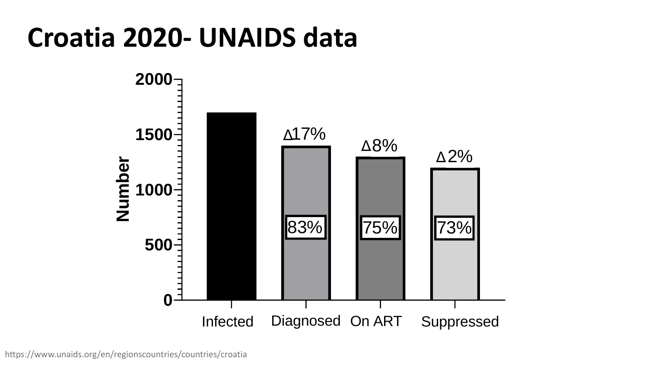### **Croatia 2020- UNAIDS data**

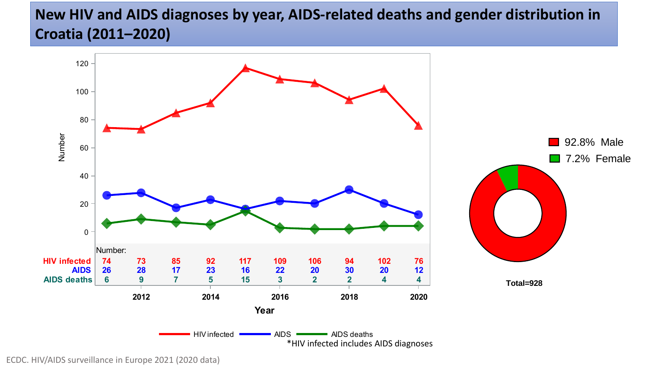#### **New HIV and AIDS diagnoses by year, AIDS-related deaths and gender distribution in Croatia (2011–2020)**



ECDC. HIV/AIDS surveillance in Europe 2021 (2020 data)